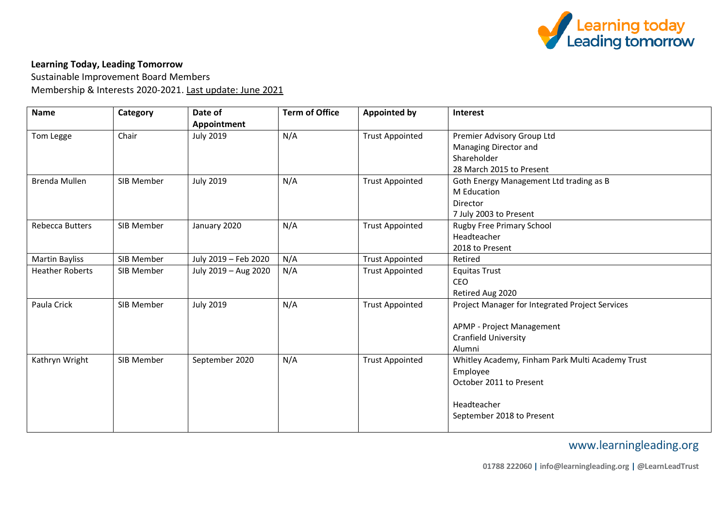

## **Learning Today, Leading Tomorrow**

Sustainable Improvement Board Members Membership & Interests 2020-2021. Last update: June 2021

| <b>Name</b>            | Category   | Date of<br>Appointment | <b>Term of Office</b> | <b>Appointed by</b>    | Interest                                         |
|------------------------|------------|------------------------|-----------------------|------------------------|--------------------------------------------------|
| Tom Legge              | Chair      | <b>July 2019</b>       | N/A                   | <b>Trust Appointed</b> | Premier Advisory Group Ltd                       |
|                        |            |                        |                       |                        | Managing Director and                            |
|                        |            |                        |                       |                        | Shareholder                                      |
|                        |            |                        |                       |                        | 28 March 2015 to Present                         |
| Brenda Mullen          | SIB Member | <b>July 2019</b>       | N/A                   | <b>Trust Appointed</b> | Goth Energy Management Ltd trading as B          |
|                        |            |                        |                       |                        | <b>M</b> Education                               |
|                        |            |                        |                       |                        | Director                                         |
|                        |            |                        |                       |                        | 7 July 2003 to Present                           |
| <b>Rebecca Butters</b> | SIB Member | January 2020           | N/A                   | <b>Trust Appointed</b> | <b>Rugby Free Primary School</b>                 |
|                        |            |                        |                       |                        | Headteacher                                      |
|                        |            |                        |                       |                        | 2018 to Present                                  |
| Martin Bayliss         | SIB Member | July 2019 - Feb 2020   | N/A                   | <b>Trust Appointed</b> | Retired                                          |
| <b>Heather Roberts</b> | SIB Member | July 2019 - Aug 2020   | N/A                   | <b>Trust Appointed</b> | <b>Equitas Trust</b>                             |
|                        |            |                        |                       |                        | <b>CEO</b>                                       |
|                        |            |                        |                       |                        | Retired Aug 2020                                 |
| Paula Crick            | SIB Member | <b>July 2019</b>       | N/A                   | <b>Trust Appointed</b> | Project Manager for Integrated Project Services  |
|                        |            |                        |                       |                        | APMP - Project Management                        |
|                        |            |                        |                       |                        | <b>Cranfield University</b>                      |
|                        |            |                        |                       |                        | Alumni                                           |
| Kathryn Wright         | SIB Member | September 2020         | N/A                   | <b>Trust Appointed</b> | Whitley Academy, Finham Park Multi Academy Trust |
|                        |            |                        |                       |                        | Employee                                         |
|                        |            |                        |                       |                        | October 2011 to Present                          |
|                        |            |                        |                       |                        | Headteacher                                      |
|                        |            |                        |                       |                        | September 2018 to Present                        |
|                        |            |                        |                       |                        |                                                  |

## www.learningleading.org